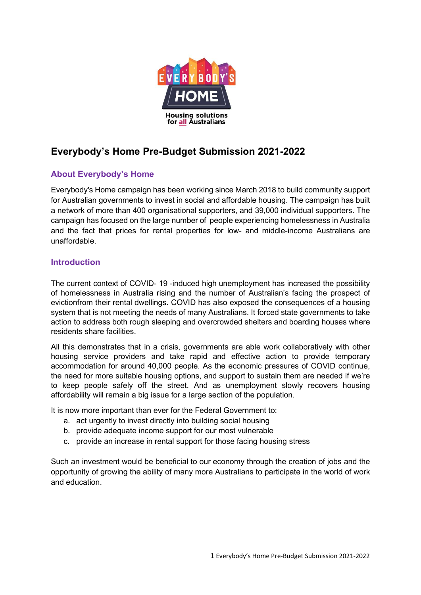

# Everybody's Home Pre-Budget Submission 2021-2022

# About Everybody's Home

Everybody's Home campaign has been working since March 2018 to build community support for Australian governments to invest in social and affordable housing. The campaign has built a network of more than 400 organisational supporters, and 39,000 individual supporters. The campaign has focused on the large number of people experiencing homelessness in Australia and the fact that prices for rental properties for low- and middle-income Australians are unaffordable.

### Introduction

The current context of COVID- 19 -induced high unemployment has increased the possibility of homelessness in Australia rising and the number of Australian's facing the prospect of evictionfrom their rental dwellings. COVID has also exposed the consequences of a housing system that is not meeting the needs of many Australians. It forced state governments to take action to address both rough sleeping and overcrowded shelters and boarding houses where residents share facilities.

All this demonstrates that in a crisis, governments are able work collaboratively with other housing service providers and take rapid and effective action to provide temporary accommodation for around 40,000 people. As the economic pressures of COVID continue, the need for more suitable housing options, and support to sustain them are needed if we're to keep people safely off the street. And as unemployment slowly recovers housing affordability will remain a big issue for a large section of the population.

It is now more important than ever for the Federal Government to:

- a. act urgently to invest directly into building social housing
- b. provide adequate income support for our most vulnerable
- c. provide an increase in rental support for those facing housing stress

Such an investment would be beneficial to our economy through the creation of jobs and the opportunity of growing the ability of many more Australians to participate in the world of work and education.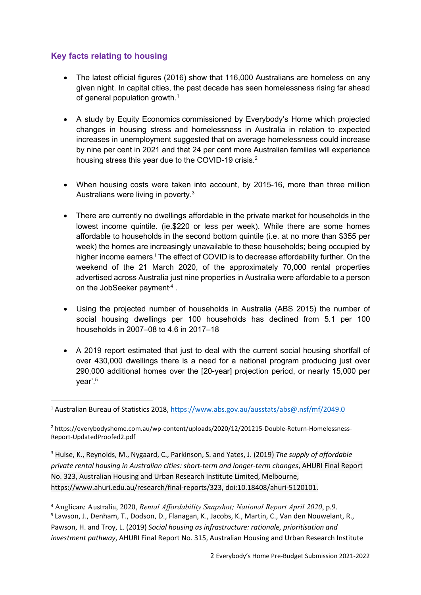# Key facts relating to housing

- The latest official figures (2016) show that 116,000 Australians are homeless on any given night. In capital cities, the past decade has seen homelessness rising far ahead of general population growth.<sup>1</sup>
- A study by Equity Economics commissioned by Everybody's Home which projected changes in housing stress and homelessness in Australia in relation to expected increases in unemployment suggested that on average homelessness could increase by nine per cent in 2021 and that 24 per cent more Australian families will experience housing stress this year due to the COVID-19 crisis.<sup>2</sup>
- When housing costs were taken into account, by 2015-16, more than three million Australians were living in poverty.<sup>3</sup>
- There are currently no dwellings affordable in the private market for households in the lowest income quintile. (ie.\$220 or less per week). While there are some homes affordable to households in the second bottom quintile (i.e. at no more than \$355 per week) the homes are increasingly unavailable to these households; being occupied by higher income earners.<sup>i</sup> The effect of COVID is to decrease affordability further. On the weekend of the 21 March 2020, of the approximately 70,000 rental properties advertised across Australia just nine properties in Australia were affordable to a person on the JobSeeker payment<sup>4</sup>.
- Using the projected number of households in Australia (ABS 2015) the number of social housing dwellings per 100 households has declined from 5.1 per 100 households in 2007–08 to 4.6 in 2017–18
- A 2019 report estimated that just to deal with the current social housing shortfall of over 430,000 dwellings there is a need for a national program producing just over 290,000 additional homes over the [20-year] projection period, or nearly 15,000 per year'.<sup>5</sup>

<sup>4</sup> Anglicare Australia, 2020, Rental Affordability Snapshot; National Report April 2020, p.9. <sup>5</sup> Lawson, J., Denham, T., Dodson, D., Flanagan, K., Jacobs, K., Martin, C., Van den Nouwelant, R., Pawson, H. and Troy, L. (2019) Social housing as infrastructure: rationale, prioritisation and investment pathway, AHURI Final Report No. 315, Australian Housing and Urban Research Institute

<sup>1</sup> Australian Bureau of Statistics 2018, https://www.abs.gov.au/ausstats/abs@.nsf/mf/2049.0

<sup>2</sup> https://everybodyshome.com.au/wp-content/uploads/2020/12/201215-Double-Return-Homelessness-Report-UpdatedProofed2.pdf

<sup>&</sup>lt;sup>3</sup> Hulse, K., Reynolds, M., Nygaard, C., Parkinson, S. and Yates, J. (2019) The supply of affordable private rental housing in Australian cities: short-term and longer-term changes, AHURI Final Report No. 323, Australian Housing and Urban Research Institute Limited, Melbourne, https://www.ahuri.edu.au/research/final-reports/323, doi:10.18408/ahuri-5120101.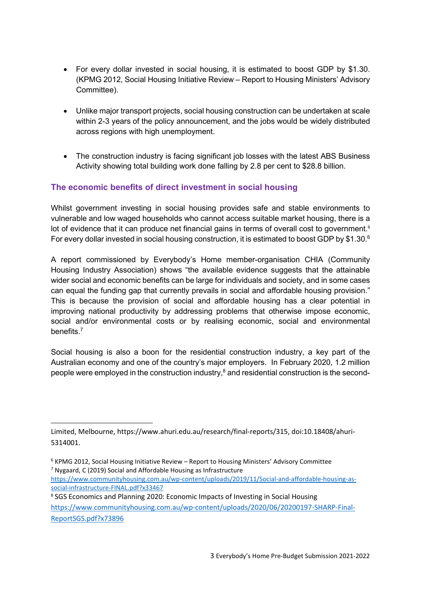- For every dollar invested in social housing, it is estimated to boost GDP by \$1.30. (KPMG 2012, Social Housing Initiative Review – Report to Housing Ministers' Advisory Committee).
- Unlike major transport projects, social housing construction can be undertaken at scale within 2-3 years of the policy announcement, and the jobs would be widely distributed across regions with high unemployment.
- The construction industry is facing significant job losses with the latest ABS Business Activity showing total building work done falling by 2.8 per cent to \$28.8 billion.

# The economic benefits of direct investment in social housing

Whilst government investing in social housing provides safe and stable environments to vulnerable and low waged households who cannot access suitable market housing, there is a lot of evidence that it can produce net financial gains in terms of overall cost to government.<sup>ii</sup> For every dollar invested in social housing construction, it is estimated to boost GDP by \$1.30.<sup>6</sup>

A report commissioned by Everybody's Home member-organisation CHIA (Community Housing Industry Association) shows "the available evidence suggests that the attainable wider social and economic benefits can be large for individuals and society, and in some cases can equal the funding gap that currently prevails in social and affordable housing provision." This is because the provision of social and affordable housing has a clear potential in improving national productivity by addressing problems that otherwise impose economic, social and/or environmental costs or by realising economic, social and environmental benefits<sup>7</sup>

Social housing is also a boon for the residential construction industry, a key part of the Australian economy and one of the country's major employers. In February 2020, 1.2 million people were employed in the construction industry, $8$  and residential construction is the second-

<sup>8</sup> SGS Economics and Planning 2020: Economic Impacts of Investing in Social Housing

Limited, Melbourne, https://www.ahuri.edu.au/research/final-reports/315, doi:10.18408/ahuri-5314001.

<sup>&</sup>lt;sup>6</sup> KPMG 2012, Social Housing Initiative Review - Report to Housing Ministers' Advisory Committee <sup>7</sup> Nygaard, C (2019) Social and Affordable Housing as Infrastructure

https://www.communityhousing.com.au/wp-content/uploads/2019/11/Social-and-affordable-housing-associal-infrastructure-FINAL.pdf?x33467

https://www.communityhousing.com.au/wp-content/uploads/2020/06/20200197-SHARP-Final-ReportSGS.pdf?x73896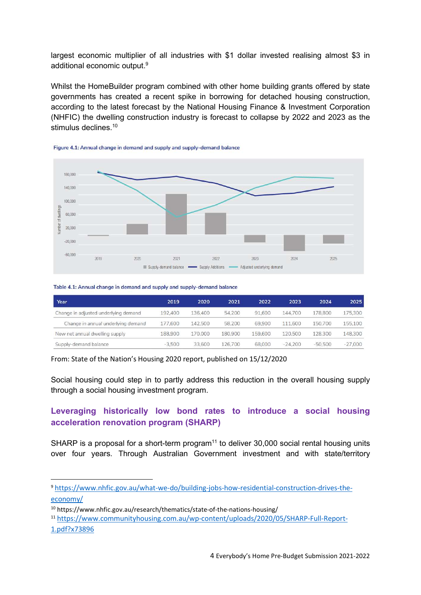largest economic multiplier of all industries with \$1 dollar invested realising almost \$3 in additional economic output.<sup>9</sup>

Whilst the HomeBuilder program combined with other home building grants offered by state governments has created a recent spike in borrowing for detached housing construction, according to the latest forecast by the National Housing Finance & Investment Corporation (NHFIC) the dwelling construction industry is forecast to collapse by 2022 and 2023 as the stimulus declines.<sup>10</sup>





#### Table 4.1: Annual change in demand and supply and supply-demand balance

| Year                                 | 2019     | 2020    | 2021    | 2022    | 2023      | 2024      | 2025      |
|--------------------------------------|----------|---------|---------|---------|-----------|-----------|-----------|
| Change in adjusted underlying demand | 192,400  | 136,400 | 54,200  | 91,600  | 144,700   | 178,800   | 175,300   |
| Change in annual underlying demand   | 177,600  | 142,500 | 58,200  | 69,900  | 111,600   | 150,700   | 155,100   |
| New net annual dwelling supply       | 188,900  | 170.000 | 180,900 | 159,600 | 120,500   | 128,300   | 148,300   |
| Supply-demand balance                | $-3.500$ | 33,600  | 126,700 | 68,000  | $-24.200$ | $-50,500$ | $-27.000$ |

From: State of the Nation's Housing 2020 report, published on 15/12/2020

Social housing could step in to partly address this reduction in the overall housing supply through a social housing investment program.

### Leveraging historically low bond rates to introduce a social housing acceleration renovation program (SHARP)

SHARP is a proposal for a short-term program<sup>11</sup> to deliver 30,000 social rental housing units over four years. Through Australian Government investment and with state/territory

<sup>9</sup> https://www.nhfic.gov.au/what-we-do/building-jobs-how-residential-construction-drives-theeconomy/

<sup>10</sup> https://www.nhfic.gov.au/research/thematics/state-of-the-nations-housing/

<sup>11</sup> https://www.communityhousing.com.au/wp-content/uploads/2020/05/SHARP-Full-Report-1.pdf?x73896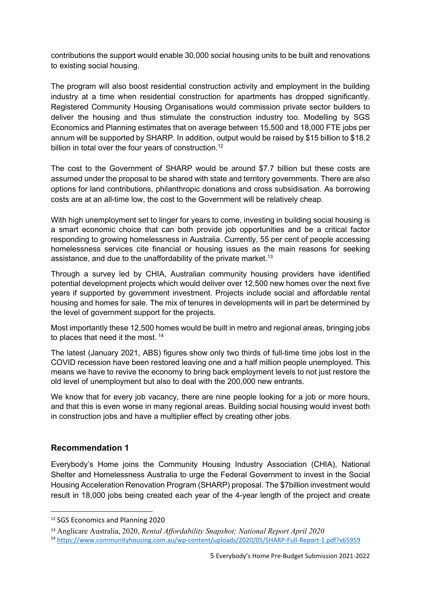contributions the support would enable 30,000 social housing units to be built and renovations to existing social housing.

The program will also boost residential construction activity and employment in the building industry at a time when residential construction for apartments has dropped significantly. Registered Community Housing Organisations would commission private sector builders to deliver the housing and thus stimulate the construction industry too. Modelling by SGS Economics and Planning estimates that on average between 15,500 and 18,000 FTE jobs per annum will be supported by SHARP. In addition, output would be raised by \$15 billion to \$18.2 billion in total over the four years of construction.<sup>12</sup>

The cost to the Government of SHARP would be around \$7.7 billion but these costs are assumed under the proposal to be shared with state and territory governments. There are also options for land contributions, philanthropic donations and cross subsidisation. As borrowing costs are at an all-time low, the cost to the Government will be relatively cheap.

With high unemployment set to linger for years to come, investing in building social housing is a smart economic choice that can both provide job opportunities and be a critical factor responding to growing homelessness in Australia. Currently, 55 per cent of people accessing homelessness services cite financial or housing issues as the main reasons for seeking assistance, and due to the unaffordability of the private market.<sup>13</sup>

Through a survey led by CHIA, Australian community housing providers have identified potential development projects which would deliver over 12,500 new homes over the next five years if supported by government investment. Projects include social and affordable rental housing and homes for sale. The mix of tenures in developments will in part be determined by the level of government support for the projects.

Most importantly these 12,500 homes would be built in metro and regional areas, bringing jobs to places that need it the most.  $14$ 

The latest (January 2021, ABS) figures show only two thirds of full-time time jobs lost in the COVID recession have been restored leaving one and a half million people unemployed. This means we have to revive the economy to bring back employment levels to not just restore the old level of unemployment but also to deal with the 200,000 new entrants.

We know that for every job vacancy, there are nine people looking for a job or more hours, and that this is even worse in many regional areas. Building social housing would invest both in construction jobs and have a multiplier effect by creating other jobs.

# Recommendation 1

Everybody's Home joins the Community Housing Industry Association (CHIA), National Shelter and Homelessness Australia to urge the Federal Government to invest in the Social Housing Acceleration Renovation Program (SHARP) proposal. The \$7billion investment would result in 18,000 jobs being created each year of the 4-year length of the project and create

<sup>12</sup> SGS Economics and Planning 2020

<sup>13</sup> Anglicare Australia, 2020, Rental Affordability Snapshot; National Report April 2020

<sup>14</sup> https://www.communityhousing.com.au/wp-content/uploads/2020/05/SHARP-Full-Report-1.pdf?x65959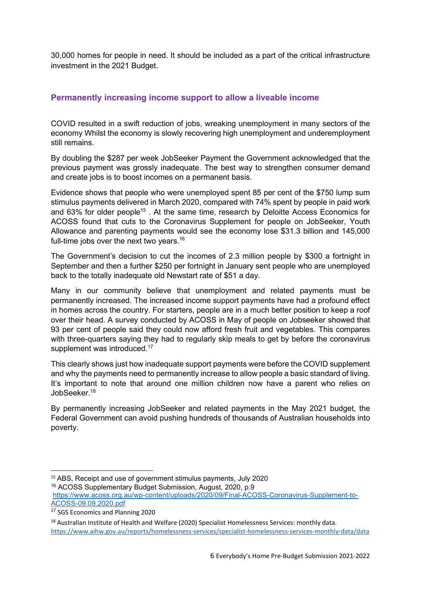30,000 homes for people in need. It should be included as a part of the critical infrastructure investment in the 2021 Budget.

#### Permanently increasing income support to allow a liveable income

COVID resulted in a swift reduction of jobs, wreaking unemployment in many sectors of the economy Whilst the economy is slowly recovering high unemployment and underemployment still remains.

By doubling the \$287 per week JobSeeker Payment the Government acknowledged that the previous payment was grossly inadequate. The best way to strengthen consumer demand and create jobs is to boost incomes on a permanent basis.

Evidence shows that people who were unemployed spent 85 per cent of the \$750 lump sum stimulus payments delivered in March 2020, compared with 74% spent by people in paid work and 63% for older people<sup>15</sup>. At the same time, research by Deloitte Access Economics for ACOSS found that cuts to the Coronavirus Supplement for people on JobSeeker, Youth Allowance and parenting payments would see the economy lose \$31.3 billion and 145,000 full-time jobs over the next two years.<sup>16</sup>

The Government's decision to cut the incomes of 2.3 million people by \$300 a fortnight in September and then a further \$250 per fortnight in January sent people who are unemployed back to the totally inadequate old Newstart rate of \$51 a day.

Many in our community believe that unemployment and related payments must be permanently increased. The increased income support payments have had a profound effect in homes across the country. For starters, people are in a much better position to keep a roof over their head. A survey conducted by ACOSS in May of people on Jobseeker showed that 93 per cent of people said they could now afford fresh fruit and vegetables. This compares with three-quarters saying they had to regularly skip meals to get by before the coronavirus supplement was introduced.<sup>17</sup>

This clearly shows just how inadequate support payments were before the COVID supplement and why the payments need to permanently increase to allow people a basic standard of living. It's important to note that around one million children now have a parent who relies on JobSeeker.<sup>18</sup>

By permanently increasing JobSeeker and related payments in the May 2021 budget, the Federal Government can avoid pushing hundreds of thousands of Australian households into poverty.

<sup>&</sup>lt;sup>15</sup> ABS, Receipt and use of government stimulus payments, July 2020

<sup>16</sup> ACOSS Supplementary Budget Submission, August, 2020, p.9

https://www.acoss.org.au/wp-content/uploads/2020/09/Final-ACOSS-Coronavirus-Supplement-to-ACOSS-09.09.2020.pdf

<sup>&</sup>lt;sup>17</sup> SGS Economics and Planning 2020

<sup>&</sup>lt;sup>18</sup> Australian Institute of Health and Welfare (2020) Specialist Homelessness Services: monthly data. https://www.aihw.gov.au/reports/homelessness-services/specialist-homelessness-services-monthly-data/data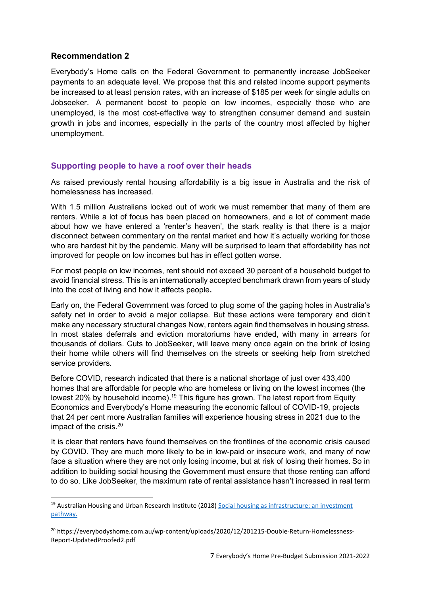### Recommendation 2

Everybody's Home calls on the Federal Government to permanently increase JobSeeker payments to an adequate level. We propose that this and related income support payments be increased to at least pension rates, with an increase of \$185 per week for single adults on Jobseeker. A permanent boost to people on low incomes, especially those who are unemployed, is the most cost-effective way to strengthen consumer demand and sustain growth in jobs and incomes, especially in the parts of the country most affected by higher unemployment.

#### Supporting people to have a roof over their heads

As raised previously rental housing affordability is a big issue in Australia and the risk of homelessness has increased.

With 1.5 million Australians locked out of work we must remember that many of them are renters. While a lot of focus has been placed on homeowners, and a lot of comment made about how we have entered a 'renter's heaven', the stark reality is that there is a major disconnect between commentary on the rental market and how it's actually working for those who are hardest hit by the pandemic. Many will be surprised to learn that affordability has not improved for people on low incomes but has in effect gotten worse.

For most people on low incomes, rent should not exceed 30 percent of a household budget to avoid financial stress. This is an internationally accepted benchmark drawn from years of study into the cost of living and how it affects people.

Early on, the Federal Government was forced to plug some of the gaping holes in Australia's safety net in order to avoid a major collapse. But these actions were temporary and didn't make any necessary structural changes Now, renters again find themselves in housing stress. In most states deferrals and eviction moratoriums have ended, with many in arrears for thousands of dollars. Cuts to JobSeeker, will leave many once again on the brink of losing their home while others will find themselves on the streets or seeking help from stretched service providers.

Before COVID, research indicated that there is a national shortage of just over 433,400 homes that are affordable for people who are homeless or living on the lowest incomes (the lowest 20% by household income).<sup>19</sup> This figure has grown. The latest report from Equity Economics and Everybody's Home measuring the economic fallout of COVID-19, projects that 24 per cent more Australian families will experience housing stress in 2021 due to the impact of the crisis.<sup>20</sup>

It is clear that renters have found themselves on the frontlines of the economic crisis caused by COVID. They are much more likely to be in low-paid or insecure work, and many of now face a situation where they are not only losing income, but at risk of losing their homes. So in addition to building social housing the Government must ensure that those renting can afford to do so. Like JobSeeker, the maximum rate of rental assistance hasn't increased in real term

 $19$  Australian Housing and Urban Research Institute (2018) Social housing as infrastructure: an investment pathway.

<sup>&</sup>lt;sup>20</sup> https://everybodyshome.com.au/wp-content/uploads/2020/12/201215-Double-Return-Homelessness-Report-UpdatedProofed2.pdf